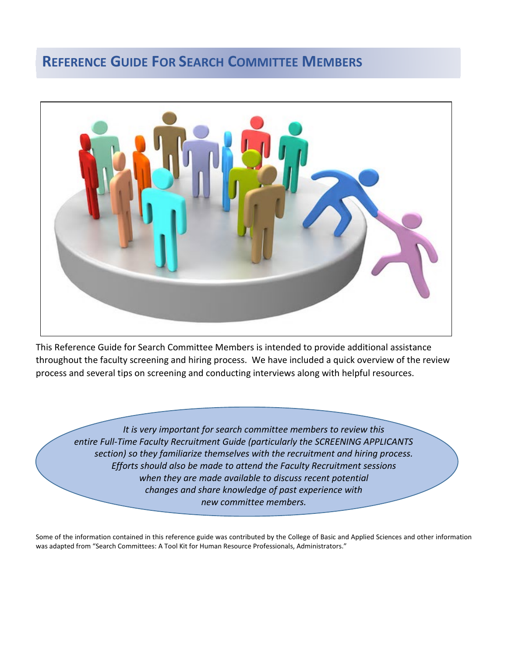# **REFERENCE GUIDE FOR SEARCH COMMITTEE MEMBERS**



This Reference Guide for Search Committee Members is intended to provide additional assistance throughout the faculty screening and hiring process. We have included a quick overview of the review process and several tips on screening and conducting interviews along with helpful resources.

*It is very important for search committee members to review this entire Full-Time Faculty Recruitment Guide (particularly the SCREENING APPLICANTS section) so they familiarize themselves with the recruitment and hiring process. Efforts should also be made to attend the Faculty Recruitment sessions when they are made available to discuss recent potential changes and share knowledge of past experience with new committee members.*

Some of the information contained in this reference guide was contributed by the College of Basic and Applied Sciences and other information was adapted from "Search Committees: A Tool Kit for Human Resource Professionals, Administrators."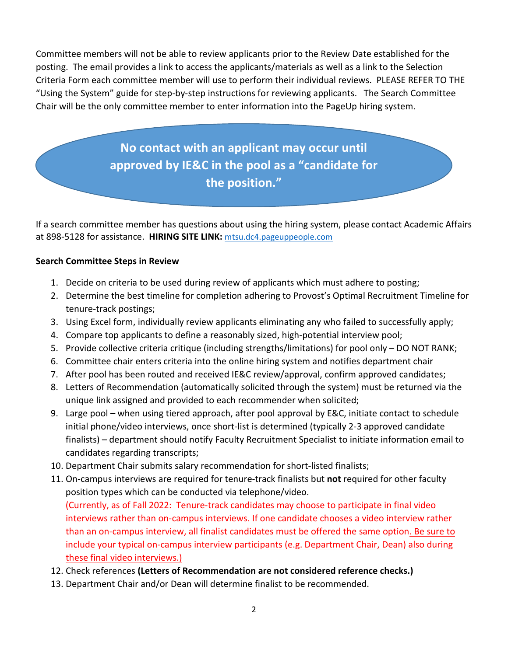Committee members will not be able to review applicants prior to the Review Date established for the posting. The email provides a link to access the applicants/materials as well as a link to the Selection Criteria Form each committee member will use to perform their individual reviews. PLEASE REFER TO THE "Using the System" guide for step-by-step instructions for reviewing applicants. The Search Committee Chair will be the only committee member to enter information into the PageUp hiring system.

> **No contact with an applicant may occur until approved by IE&C in the pool as a "candidate for the position."**

If a search committee member has questions about using the hiring system, please contact Academic Affairs at 898-5128 for assistance. **HIRING SITE LINK:** mtsu.dc4.pageuppeople.com

# **Search Committee Steps in Review**

- 1. Decide on criteria to be used during review of applicants which must adhere to posting;
- 2. Determine the best timeline for completion adhering to Provost's Optimal Recruitment Timeline for tenure-track postings;
- 3. Using Excel form, individually review applicants eliminating any who failed to successfully apply;
- 4. Compare top applicants to define a reasonably sized, high-potential interview pool;
- 5. Provide collective criteria critique (including strengths/limitations) for pool only DO NOT RANK;
- 6. Committee chair enters criteria into the online hiring system and notifies department chair
- 7. After pool has been routed and received IE&C review/approval, confirm approved candidates;
- 8. Letters of Recommendation (automatically solicited through the system) must be returned via the unique link assigned and provided to each recommender when solicited;
- 9. Large pool when using tiered approach, after pool approval by E&C, initiate contact to schedule initial phone/video interviews, once short-list is determined (typically 2-3 approved candidate finalists) – department should notify Faculty Recruitment Specialist to initiate information email to candidates regarding transcripts;
- 10. Department Chair submits salary recommendation for short-listed finalists;
- 11. On-campus interviews are required for tenure-track finalists but **not** required for other faculty position types which can be conducted via telephone/video. (Currently, as of Fall 2022: Tenure-track candidates may choose to participate in final video interviews rather than on-campus interviews. If one candidate chooses a video interview rather than an on-campus interview, all finalist candidates must be offered the same option. Be sure to include your typical on-campus interview participants (e.g. Department Chair, Dean) also during these final video interviews.)
- 12. Check references **(Letters of Recommendation are not considered reference checks.)**
- 13. Department Chair and/or Dean will determine finalist to be recommended.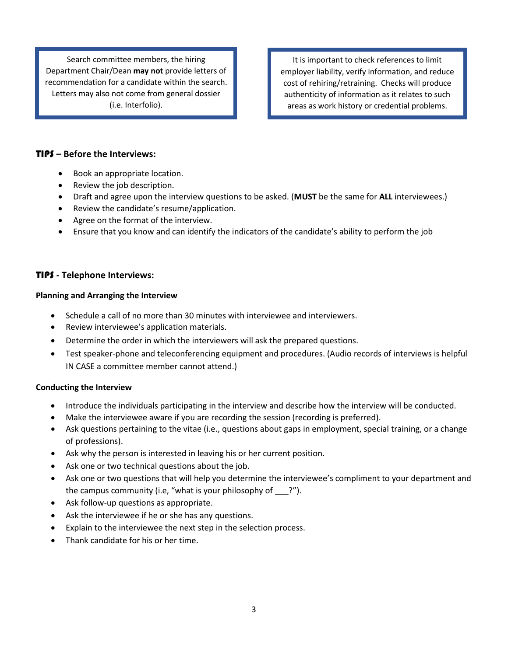Search committee members, the hiring Department Chair/Dean **may not** provide letters of recommendation for a candidate within the search. Letters may also not come from general dossier (i.e. Interfolio).

It is important to check references to limit employer liability, verify information, and reduce cost of rehiring/retraining. Checks will produce authenticity of information as it relates to such areas as work history or credential problems.

#### TIPS **– Before the Interviews:**

- Book an appropriate location.
- Review the job description.
- Draft and agree upon the interview questions to be asked. (**MUST** be the same for **ALL** interviewees.)
- Review the candidate's resume/application.
- Agree on the format of the interview.
- Ensure that you know and can identify the indicators of the candidate's ability to perform the job

#### TIPS **- Telephone Interviews:**

#### **Planning and Arranging the Interview**

- Schedule a call of no more than 30 minutes with interviewee and interviewers.
- Review interviewee's application materials.
- Determine the order in which the interviewers will ask the prepared questions.
- Test speaker-phone and teleconferencing equipment and procedures. (Audio records of interviews is helpful IN CASE a committee member cannot attend.)

#### **Conducting the Interview**

- Introduce the individuals participating in the interview and describe how the interview will be conducted.
- Make the interviewee aware if you are recording the session (recording is preferred).
- Ask questions pertaining to the vitae (i.e., questions about gaps in employment, special training, or a change of professions).
- Ask why the person is interested in leaving his or her current position.
- Ask one or two technical questions about the job.
- Ask one or two questions that will help you determine the interviewee's compliment to your department and the campus community (i.e, "what is your philosophy of ?").
- Ask follow-up questions as appropriate.
- Ask the interviewee if he or she has any questions.
- Explain to the interviewee the next step in the selection process.
- Thank candidate for his or her time.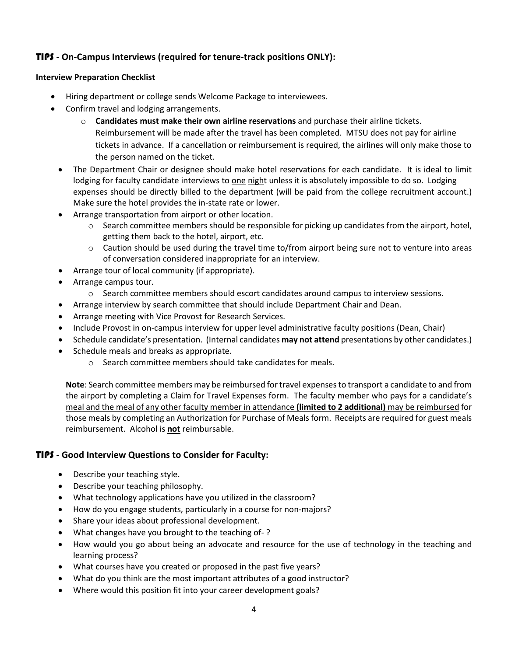# TIPS **- On-Campus Interviews (required for tenure-track positions ONLY):**

#### **Interview Preparation Checklist**

- Hiring department or college sends Welcome Package to interviewees.
- Confirm travel and lodging arrangements.
	- o **Candidates must make their own airline reservations** and purchase their airline tickets. Reimbursement will be made after the travel has been completed. MTSU does not pay for airline tickets in advance. If a cancellation or reimbursement is required, the airlines will only make those to the person named on the ticket.
	- The Department Chair or designee should make hotel reservations for each candidate. It is ideal to limit lodging for faculty candidate interviews to one night unless it is absolutely impossible to do so. Lodging expenses should be directly billed to the department (will be paid from the college recruitment account.) Make sure the hotel provides the in-state rate or lower.
	- Arrange transportation from airport or other location.
		- $\circ$  Search committee members should be responsible for picking up candidates from the airport, hotel, getting them back to the hotel, airport, etc.
		- $\circ$  Caution should be used during the travel time to/from airport being sure not to venture into areas of conversation considered inappropriate for an interview.
	- Arrange tour of local community (if appropriate).
	- Arrange campus tour.
		- o Search committee members should escort candidates around campus to interview sessions.
	- Arrange interview by search committee that should include Department Chair and Dean.
	- Arrange meeting with Vice Provost for Research Services.
	- Include Provost in on-campus interview for upper level administrative faculty positions (Dean, Chair)
	- Schedule candidate's presentation. (Internal candidates **may not attend** presentations by other candidates.)
	- Schedule meals and breaks as appropriate.
		- o Search committee members should take candidates for meals.

**Note**: Search committee members may be reimbursed for travel expenses to transport a candidate to and from the airport by completing a Claim for Travel Expenses form. The faculty member who pays for a candidate's meal and the meal of any other faculty member in attendance **(limited to 2 additional)** may be reimbursed for those meals by completing an Authorization for Purchase of Meals form. Receipts are required for guest meals reimbursement. Alcohol is **not** reimbursable.

## TIPS **- Good Interview Questions to Consider for Faculty:**

- Describe your teaching style.
- Describe your teaching philosophy.
- What technology applications have you utilized in the classroom?
- How do you engage students, particularly in a course for non-majors?
- Share your ideas about professional development.
- What changes have you brought to the teaching of- ?
- How would you go about being an advocate and resource for the use of technology in the teaching and learning process?
- What courses have you created or proposed in the past five years?
- What do you think are the most important attributes of a good instructor?
- Where would this position fit into your career development goals?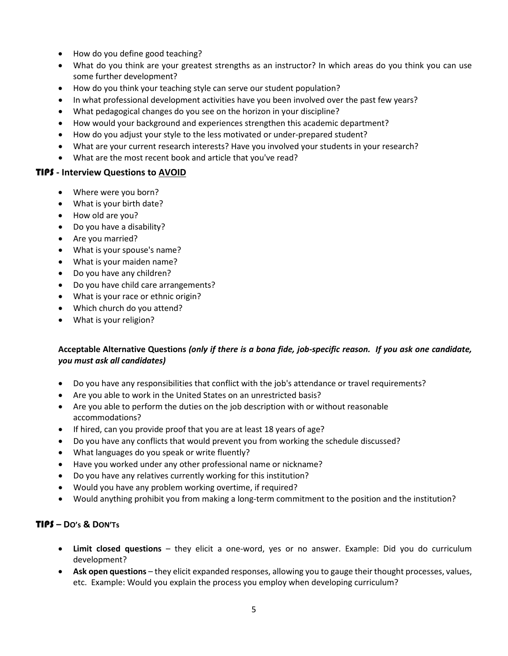- How do you define good teaching?
- What do you think are your greatest strengths as an instructor? In which areas do you think you can use some further development?
- How do you think your teaching style can serve our student population?
- In what professional development activities have you been involved over the past few years?
- What pedagogical changes do you see on the horizon in your discipline?
- How would your background and experiences strengthen this academic department?
- How do you adjust your style to the less motivated or under-prepared student?
- What are your current research interests? Have you involved your students in your research?
- What are the most recent book and article that you've read?

#### TIPS **- Interview Questions to AVOID**

- Where were you born?
- What is your birth date?
- How old are you?
- Do you have a disability?
- Are you married?
- What is your spouse's name?
- What is your maiden name?
- Do you have any children?
- Do you have child care arrangements?
- What is your race or ethnic origin?
- Which church do you attend?
- What is your religion?

## **Acceptable Alternative Questions** *(only if there is a bona fide, job-specific reason. If you ask one candidate, you must ask all candidates)*

- Do you have any responsibilities that conflict with the job's attendance or travel requirements?
- Are you able to work in the United States on an unrestricted basis?
- Are you able to perform the duties on the job description with or without reasonable accommodations?
- If hired, can you provide proof that you are at least 18 years of age?
- Do you have any conflicts that would prevent you from working the schedule discussed?
- What languages do you speak or write fluently?
- Have you worked under any other professional name or nickname?
- Do you have any relatives currently working for this institution?
- Would you have any problem working overtime, if required?
- Would anything prohibit you from making a long-term commitment to the position and the institution?

## TIPS **– DO's & DON'Ts**

- **Limit closed questions** they elicit a one-word, yes or no answer. Example: Did you do curriculum development?
- **Ask open questions** they elicit expanded responses, allowing you to gauge their thought processes, values, etc. Example: Would you explain the process you employ when developing curriculum?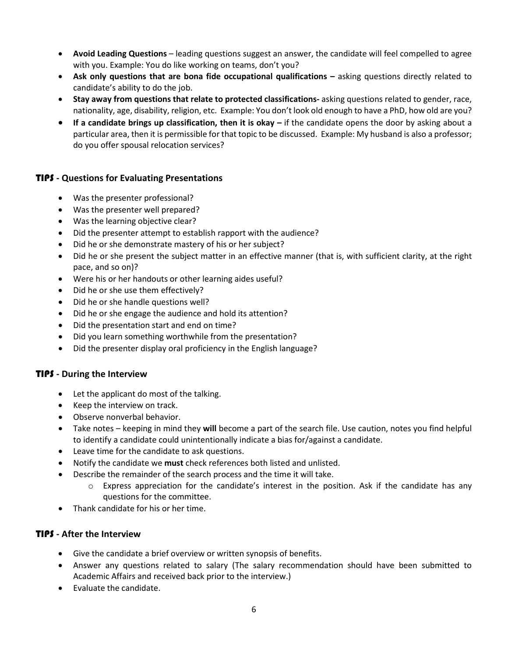- **Avoid Leading Questions** leading questions suggest an answer, the candidate will feel compelled to agree with you. Example: You do like working on teams, don't you?
- **Ask only questions that are bona fide occupational qualifications –** asking questions directly related to candidate's ability to do the job.
- **Stay away from questions that relate to protected classifications-** asking questions related to gender, race, nationality, age, disability, religion, etc. Example: You don't look old enough to have a PhD, how old are you?
- **If a candidate brings up classification, then it is okay –** if the candidate opens the door by asking about a particular area, then it is permissible for that topic to be discussed. Example: My husband is also a professor; do you offer spousal relocation services?

## TIPS **- Questions for Evaluating Presentations**

- Was the presenter professional?
- Was the presenter well prepared?
- Was the learning objective clear?
- Did the presenter attempt to establish rapport with the audience?
- Did he or she demonstrate mastery of his or her subject?
- Did he or she present the subject matter in an effective manner (that is, with sufficient clarity, at the right pace, and so on)?
- Were his or her handouts or other learning aides useful?
- Did he or she use them effectively?
- Did he or she handle questions well?
- Did he or she engage the audience and hold its attention?
- Did the presentation start and end on time?
- Did you learn something worthwhile from the presentation?
- Did the presenter display oral proficiency in the English language?

## TIPS **- During the Interview**

- Let the applicant do most of the talking.
- Keep the interview on track.
- Observe nonverbal behavior.
- Take notes keeping in mind they **will** become a part of the search file. Use caution, notes you find helpful to identify a candidate could unintentionally indicate a bias for/against a candidate.
- Leave time for the candidate to ask questions.
- Notify the candidate we **must** check references both listed and unlisted.
- Describe the remainder of the search process and the time it will take.
	- $\circ$  Express appreciation for the candidate's interest in the position. Ask if the candidate has any questions for the committee.
- Thank candidate for his or her time.

#### TIPS **- After the Interview**

- Give the candidate a brief overview or written synopsis of benefits.
- Answer any questions related to salary (The salary recommendation should have been submitted to Academic Affairs and received back prior to the interview.)
- Evaluate the candidate.